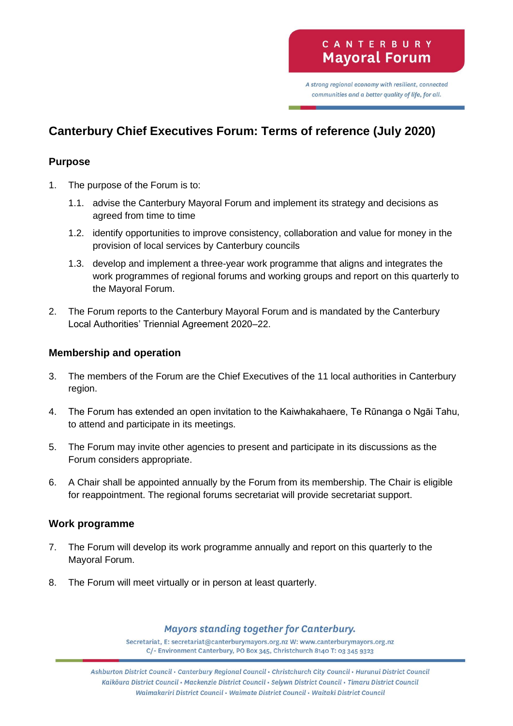A strong regional economy with resilient, connected communities and a better quality of life, for all.

# **Canterbury Chief Executives Forum: Terms of reference (July 2020)**

### **Purpose**

- 1. The purpose of the Forum is to:
	- 1.1. advise the Canterbury Mayoral Forum and implement its strategy and decisions as agreed from time to time
	- 1.2. identify opportunities to improve consistency, collaboration and value for money in the provision of local services by Canterbury councils
	- 1.3. develop and implement a three-year work programme that aligns and integrates the work programmes of regional forums and working groups and report on this quarterly to the Mayoral Forum.
- 2. The Forum reports to the Canterbury Mayoral Forum and is mandated by the Canterbury Local Authorities' Triennial Agreement 2020–22.

#### **Membership and operation**

- 3. The members of the Forum are the Chief Executives of the 11 local authorities in Canterbury region.
- 4. The Forum has extended an open invitation to the Kaiwhakahaere, Te Rūnanga o Ngāi Tahu, to attend and participate in its meetings.
- 5. The Forum may invite other agencies to present and participate in its discussions as the Forum considers appropriate.
- 6. A Chair shall be appointed annually by the Forum from its membership. The Chair is eligible for reappointment. The regional forums secretariat will provide secretariat support.

#### **Work programme**

- 7. The Forum will develop its work programme annually and report on this quarterly to the Mayoral Forum.
- 8. The Forum will meet virtually or in person at least quarterly.

#### Mayors standing together for Canterbury.

Secretariat, E: secretariat@canterburymayors.org.nz W: www.canterburymayors.org.nz C/- Environment Canterbury, PO Box 345, Christchurch 8140 T: 03 345 9323